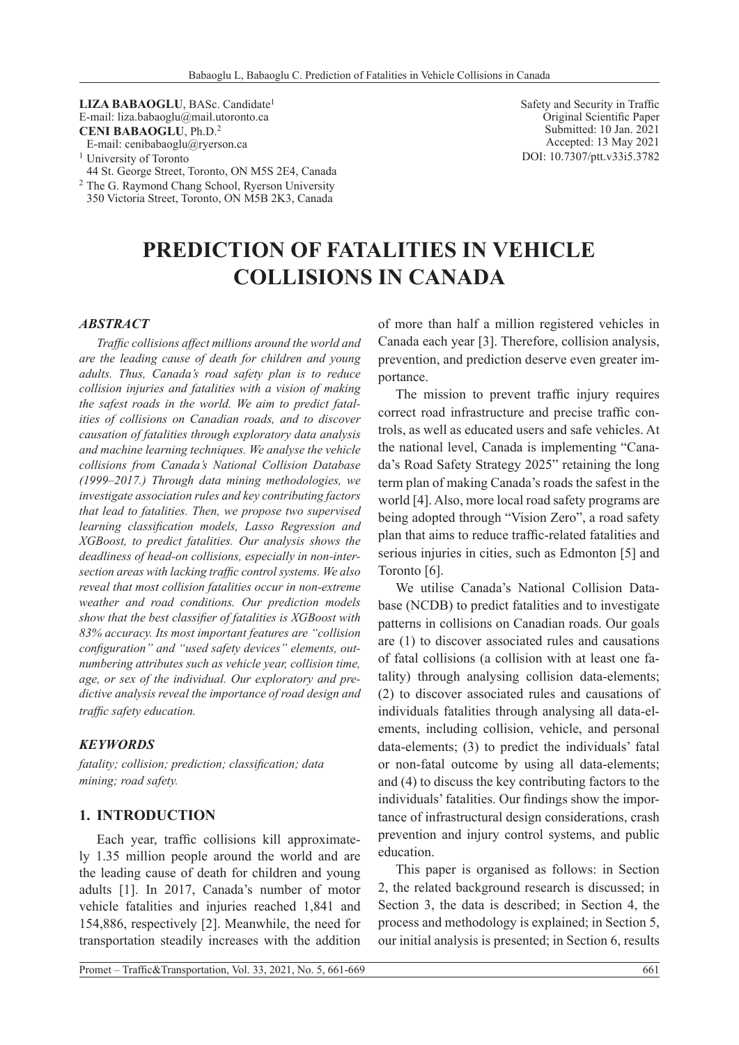**LIZA BABAOGLU**, BASc. Candidate1 E-mail: liza.babaoglu@mail.utoronto.ca **CENI BABAOGLU**, Ph.D.<sup>2</sup> E-mail: cenibabaoglu@ryerson.ca

- <sup>1</sup> University of Toronto 44 St. George Street, Toronto, ON M5S 2E4, Canada
- <sup>2</sup> The G. Raymond Chang School, Ryerson University 350 Victoria Street, Toronto, ON M5B 2K3, Canada

Safety and Security in Traffic Original Scientific Paper Submitted: 10 Jan. 2021 Accepted: 13 May 2021 DOI: 10.7307/ptt.v33i5.3782

# **PREDICTION OF FATALITIES IN VEHICLE COLLISIONS IN CANADA**

#### *ABSTRACT*

*Traffic collisions affect millions around the world and are the leading cause of death for children and young adults. Thus, Canada's road safety plan is to reduce collision injuries and fatalities with a vision of making the safest roads in the world. We aim to predict fatalities of collisions on Canadian roads, and to discover causation of fatalities through exploratory data analysis and machine learning techniques. We analyse the vehicle collisions from Canada's National Collision Database (1999–2017.) Through data mining methodologies, we investigate association rules and key contributing factors that lead to fatalities. Then, we propose two supervised learning classification models, Lasso Regression and XGBoost, to predict fatalities. Our analysis shows the deadliness of head-on collisions, especially in non-intersection areas with lacking traffic control systems. We also reveal that most collision fatalities occur in non-extreme weather and road conditions. Our prediction models show that the best classifier of fatalities is XGBoost with 83% accuracy. Its most important features are "collision configuration" and "used safety devices" elements, outnumbering attributes such as vehicle year, collision time, age, or sex of the individual. Our exploratory and predictive analysis reveal the importance of road design and traffic safety education.*

#### *KEYWORDS*

*fatality; collision; prediction; classification; data mining; road safety.*

#### **1. INTRODUCTION**

Each year, traffic collisions kill approximately 1.35 million people around the world and are the leading cause of death for children and young adults [1]. In 2017, Canada's number of motor vehicle fatalities and injuries reached 1,841 and 154,886, respectively [2]. Meanwhile, the need for transportation steadily increases with the addition of more than half a million registered vehicles in Canada each year [3]. Therefore, collision analysis, prevention, and prediction deserve even greater importance.

The mission to prevent traffic injury requires correct road infrastructure and precise traffic controls, as well as educated users and safe vehicles. At the national level, Canada is implementing "Canada's Road Safety Strategy 2025" retaining the long term plan of making Canada's roads the safest in the world [4]. Also, more local road safety programs are being adopted through "Vision Zero", a road safety plan that aims to reduce traffic-related fatalities and serious injuries in cities, such as Edmonton [5] and Toronto [6].

We utilise Canada's National Collision Database (NCDB) to predict fatalities and to investigate patterns in collisions on Canadian roads. Our goals are (1) to discover associated rules and causations of fatal collisions (a collision with at least one fatality) through analysing collision data-elements; (2) to discover associated rules and causations of individuals fatalities through analysing all data-elements, including collision, vehicle, and personal data-elements; (3) to predict the individuals' fatal or non-fatal outcome by using all data-elements; and (4) to discuss the key contributing factors to the individuals' fatalities. Our findings show the importance of infrastructural design considerations, crash prevention and injury control systems, and public education.

This paper is organised as follows: in Section 2, the related background research is discussed; in Section 3, the data is described; in Section 4, the process and methodology is explained; in Section 5, our initial analysis is presented; in Section 6, results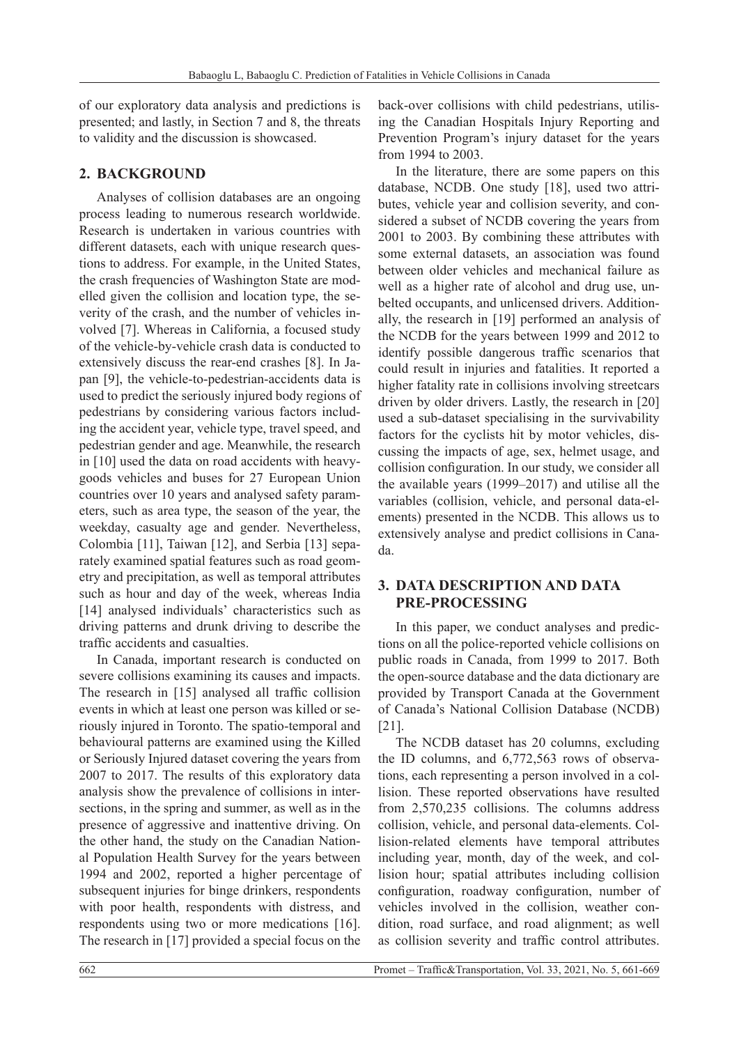of our exploratory data analysis and predictions is presented; and lastly, in Section 7 and 8, the threats to validity and the discussion is showcased.

### **2. BACKGROUND**

Analyses of collision databases are an ongoing process leading to numerous research worldwide. Research is undertaken in various countries with different datasets, each with unique research questions to address. For example, in the United States, the crash frequencies of Washington State are modelled given the collision and location type, the severity of the crash, and the number of vehicles involved [7]. Whereas in California, a focused study of the vehicle-by-vehicle crash data is conducted to extensively discuss the rear-end crashes [8]. In Japan [9], the vehicle-to-pedestrian-accidents data is used to predict the seriously injured body regions of pedestrians by considering various factors including the accident year, vehicle type, travel speed, and pedestrian gender and age. Meanwhile, the research in [10] used the data on road accidents with heavygoods vehicles and buses for 27 European Union countries over 10 years and analysed safety parameters, such as area type, the season of the year, the weekday, casualty age and gender. Nevertheless, Colombia [11], Taiwan [12], and Serbia [13] separately examined spatial features such as road geometry and precipitation, as well as temporal attributes such as hour and day of the week, whereas India [14] analysed individuals' characteristics such as driving patterns and drunk driving to describe the traffic accidents and casualties.

In Canada, important research is conducted on severe collisions examining its causes and impacts. The research in [15] analysed all traffic collision events in which at least one person was killed or seriously injured in Toronto. The spatio-temporal and behavioural patterns are examined using the Killed or Seriously Injured dataset covering the years from 2007 to 2017. The results of this exploratory data analysis show the prevalence of collisions in intersections, in the spring and summer, as well as in the presence of aggressive and inattentive driving. On the other hand, the study on the Canadian National Population Health Survey for the years between 1994 and 2002, reported a higher percentage of subsequent injuries for binge drinkers, respondents with poor health, respondents with distress, and respondents using two or more medications [16]. The research in [17] provided a special focus on the back-over collisions with child pedestrians, utilising the Canadian Hospitals Injury Reporting and Prevention Program's injury dataset for the years from 1994 to 2003.

In the literature, there are some papers on this database, NCDB. One study [18], used two attributes, vehicle year and collision severity, and considered a subset of NCDB covering the years from 2001 to 2003. By combining these attributes with some external datasets, an association was found between older vehicles and mechanical failure as well as a higher rate of alcohol and drug use, unbelted occupants, and unlicensed drivers. Additionally, the research in [19] performed an analysis of the NCDB for the years between 1999 and 2012 to identify possible dangerous traffic scenarios that could result in injuries and fatalities. It reported a higher fatality rate in collisions involving streetcars driven by older drivers. Lastly, the research in [20] used a sub-dataset specialising in the survivability factors for the cyclists hit by motor vehicles, discussing the impacts of age, sex, helmet usage, and collision configuration. In our study, we consider all the available years (1999–2017) and utilise all the variables (collision, vehicle, and personal data-elements) presented in the NCDB. This allows us to extensively analyse and predict collisions in Canada.

## **3. DATA DESCRIPTION AND DATA PRE-PROCESSING**

In this paper, we conduct analyses and predictions on all the police-reported vehicle collisions on public roads in Canada, from 1999 to 2017. Both the open-source database and the data dictionary are provided by Transport Canada at the Government of Canada's National Collision Database (NCDB) [21].

The NCDB dataset has 20 columns, excluding the ID columns, and 6,772,563 rows of observations, each representing a person involved in a collision. These reported observations have resulted from 2,570,235 collisions. The columns address collision, vehicle, and personal data-elements. Collision-related elements have temporal attributes including year, month, day of the week, and collision hour; spatial attributes including collision configuration, roadway configuration, number of vehicles involved in the collision, weather condition, road surface, and road alignment; as well as collision severity and traffic control attributes.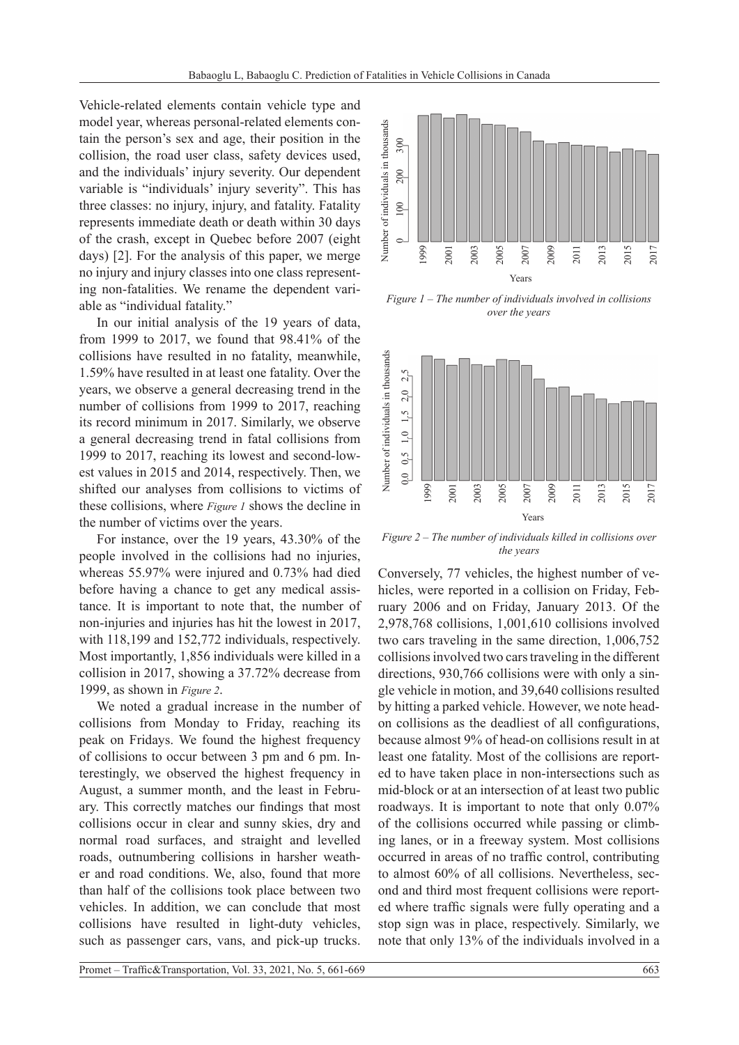Vehicle-related elements contain vehicle type and model year, whereas personal-related elements contain the person's sex and age, their position in the collision, the road user class, safety devices used, and the individuals' injury severity. Our dependent variable is "individuals' injury severity". This has three classes: no injury, injury, and fatality. Fatality represents immediate death or death within 30 days of the crash, except in Quebec before 2007 (eight days) [2]. For the analysis of this paper, we merge no injury and injury classes into one class representing non-fatalities. We rename the dependent variable as "individual fatality."

In our initial analysis of the 19 years of data, from 1999 to 2017, we found that 98.41% of the collisions have resulted in no fatality, meanwhile, 1.59% have resulted in at least one fatality. Over the years, we observe a general decreasing trend in the number of collisions from 1999 to 2017, reaching its record minimum in 2017. Similarly, we observe a general decreasing trend in fatal collisions from 1999 to 2017, reaching its lowest and second-lowest values in 2015 and 2014, respectively. Then, we shifted our analyses from collisions to victims of these collisions, where *Figure 1* shows the decline in the number of victims over the years.

For instance, over the 19 years, 43.30% of the people involved in the collisions had no injuries, whereas 55.97% were injured and 0.73% had died before having a chance to get any medical assistance. It is important to note that, the number of non-injuries and injuries has hit the lowest in 2017, with 118,199 and 152,772 individuals, respectively. Most importantly, 1,856 individuals were killed in a collision in 2017, showing a 37.72% decrease from 1999, as shown in *Figure 2*.

We noted a gradual increase in the number of collisions from Monday to Friday, reaching its peak on Fridays. We found the highest frequency of collisions to occur between 3 pm and 6 pm. Interestingly, we observed the highest frequency in August, a summer month, and the least in February. This correctly matches our findings that most collisions occur in clear and sunny skies, dry and normal road surfaces, and straight and levelled roads, outnumbering collisions in harsher weather and road conditions. We, also, found that more than half of the collisions took place between two vehicles. In addition, we can conclude that most collisions have resulted in light-duty vehicles, such as passenger cars, vans, and pick-up trucks.



*Figure 1 – The number of individuals involved in collisions over the years*



*Figure 2 – The number of individuals killed in collisions over the years*

Conversely, 77 vehicles, the highest number of vehicles, were reported in a collision on Friday, February 2006 and on Friday, January 2013. Of the 2,978,768 collisions, 1,001,610 collisions involved two cars traveling in the same direction, 1,006,752 collisions involved two cars traveling in the different directions, 930,766 collisions were with only a single vehicle in motion, and 39,640 collisions resulted by hitting a parked vehicle. However, we note headon collisions as the deadliest of all configurations, because almost 9% of head-on collisions result in at least one fatality. Most of the collisions are reported to have taken place in non-intersections such as mid-block or at an intersection of at least two public roadways. It is important to note that only 0.07% of the collisions occurred while passing or climbing lanes, or in a freeway system. Most collisions occurred in areas of no traffic control, contributing to almost 60% of all collisions. Nevertheless, second and third most frequent collisions were reported where traffic signals were fully operating and a stop sign was in place, respectively. Similarly, we note that only 13% of the individuals involved in a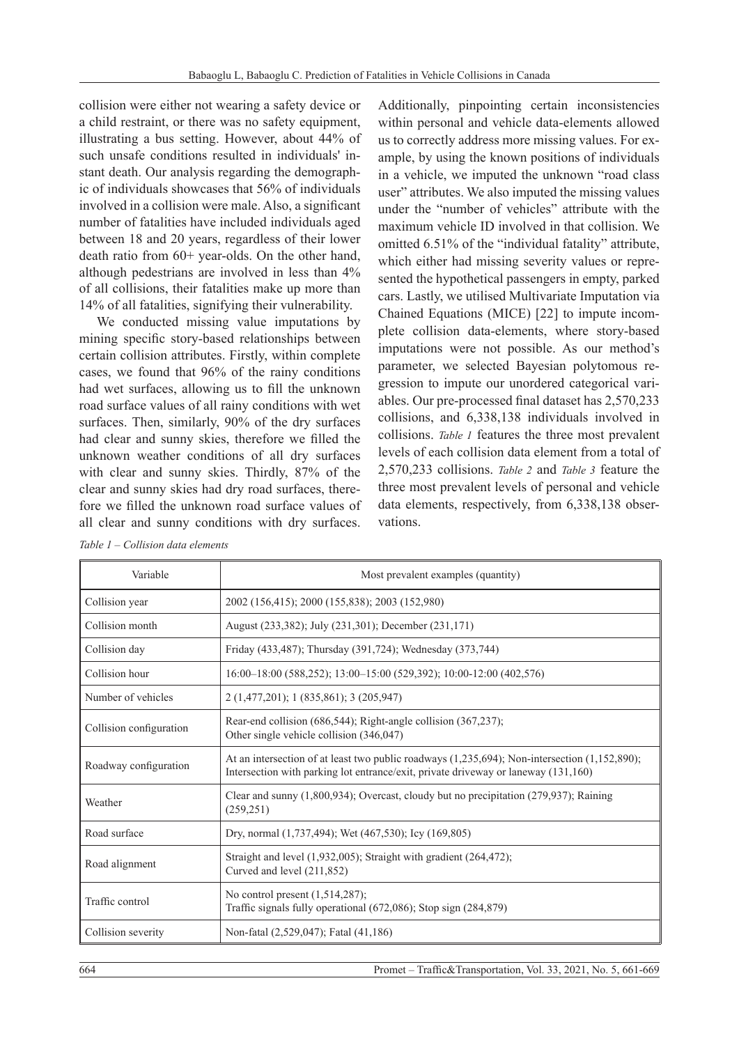collision were either not wearing a safety device or a child restraint, or there was no safety equipment, illustrating a bus setting. However, about 44% of such unsafe conditions resulted in individuals' instant death. Our analysis regarding the demographic of individuals showcases that 56% of individuals involved in a collision were male. Also, a significant number of fatalities have included individuals aged between 18 and 20 years, regardless of their lower death ratio from 60+ year-olds. On the other hand, although pedestrians are involved in less than 4% of all collisions, their fatalities make up more than 14% of all fatalities, signifying their vulnerability.

We conducted missing value imputations by mining specific story-based relationships between certain collision attributes. Firstly, within complete cases, we found that 96% of the rainy conditions had wet surfaces, allowing us to fill the unknown road surface values of all rainy conditions with wet surfaces. Then, similarly, 90% of the dry surfaces had clear and sunny skies, therefore we filled the unknown weather conditions of all dry surfaces with clear and sunny skies. Thirdly, 87% of the clear and sunny skies had dry road surfaces, therefore we filled the unknown road surface values of all clear and sunny conditions with dry surfaces.

Additionally, pinpointing certain inconsistencies within personal and vehicle data-elements allowed us to correctly address more missing values. For example, by using the known positions of individuals in a vehicle, we imputed the unknown "road class user" attributes. We also imputed the missing values under the "number of vehicles" attribute with the maximum vehicle ID involved in that collision. We omitted 6.51% of the "individual fatality" attribute, which either had missing severity values or represented the hypothetical passengers in empty, parked cars. Lastly, we utilised Multivariate Imputation via Chained Equations (MICE) [22] to impute incomplete collision data-elements, where story-based imputations were not possible. As our method's parameter, we selected Bayesian polytomous regression to impute our unordered categorical variables. Our pre-processed final dataset has 2,570,233 collisions, and 6,338,138 individuals involved in collisions. *Table 1* features the three most prevalent levels of each collision data element from a total of 2,570,233 collisions. *Table 2* and *Table 3* feature the three most prevalent levels of personal and vehicle data elements, respectively, from 6,338,138 observations.

| Variable                | Most prevalent examples (quantity)                                                                                                                                                        |  |  |
|-------------------------|-------------------------------------------------------------------------------------------------------------------------------------------------------------------------------------------|--|--|
| Collision year          | 2002 (156,415); 2000 (155,838); 2003 (152,980)                                                                                                                                            |  |  |
| Collision month         | August (233,382); July (231,301); December (231,171)                                                                                                                                      |  |  |
| Collision day           | Friday (433,487); Thursday (391,724); Wednesday (373,744)                                                                                                                                 |  |  |
| Collision hour          | 16:00-18:00 (588,252); 13:00-15:00 (529,392); 10:00-12:00 (402,576)                                                                                                                       |  |  |
| Number of vehicles      | 2 (1,477,201); 1 (835,861); 3 (205,947)                                                                                                                                                   |  |  |
| Collision configuration | Rear-end collision $(686,544)$ ; Right-angle collision $(367,237)$ ;<br>Other single vehicle collision (346,047)                                                                          |  |  |
| Roadway configuration   | At an intersection of at least two public roadways $(1,235,694)$ ; Non-intersection $(1,152,890)$ ;<br>Intersection with parking lot entrance/exit, private driveway or laneway (131,160) |  |  |
| Weather                 | Clear and sunny $(1,800,934)$ ; Overcast, cloudy but no precipitation $(279,937)$ ; Raining<br>(259, 251)                                                                                 |  |  |
| Road surface            | Dry, normal (1,737,494); Wet (467,530); Icy (169,805)                                                                                                                                     |  |  |
| Road alignment          | Straight and level $(1,932,005)$ ; Straight with gradient $(264,472)$ ;<br>Curved and level (211,852)                                                                                     |  |  |
| Traffic control         | No control present $(1,514,287)$ ;<br>Traffic signals fully operational $(672,086)$ ; Stop sign $(284,879)$                                                                               |  |  |
| Collision severity      | Non-fatal (2,529,047); Fatal (41,186)                                                                                                                                                     |  |  |

*Table 1 – Collision data elements*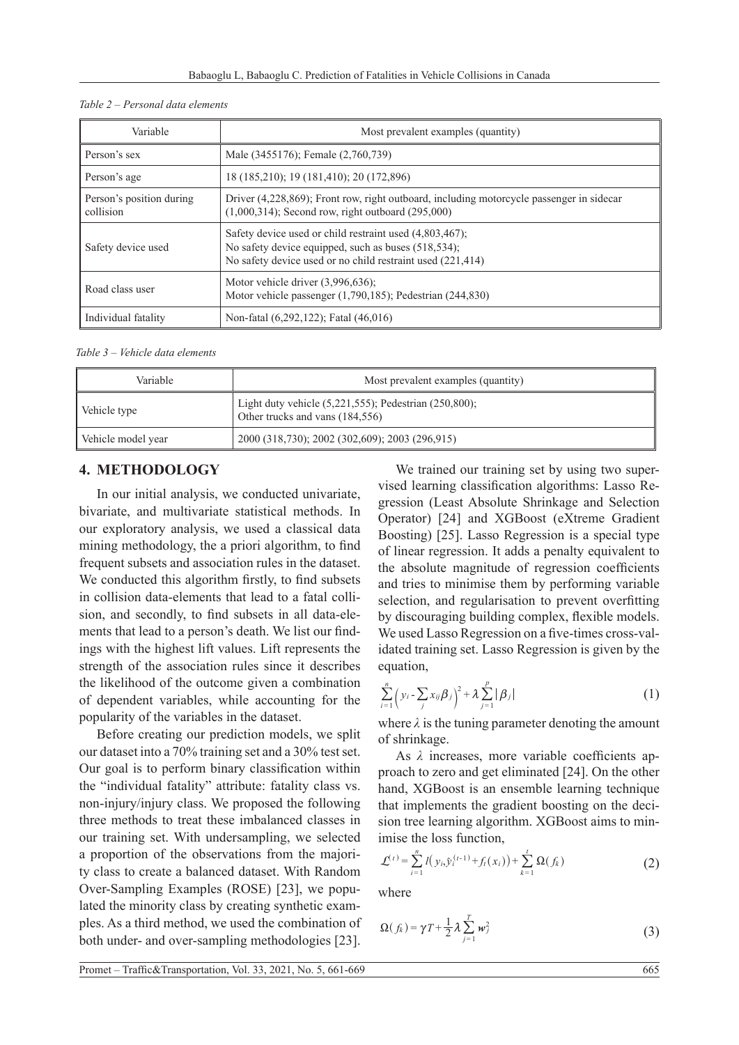| Variable                              | Most prevalent examples (quantity)                                                                                                                                              |  |  |
|---------------------------------------|---------------------------------------------------------------------------------------------------------------------------------------------------------------------------------|--|--|
| Person's sex                          | Male (3455176); Female (2,760,739)                                                                                                                                              |  |  |
| Person's age                          | 18 (185,210); 19 (181,410); 20 (172,896)                                                                                                                                        |  |  |
| Person's position during<br>collision | Driver (4,228,869); Front row, right outboard, including motorcycle passenger in sidecar<br>$(1,000,314)$ ; Second row, right outboard $(295,000)$                              |  |  |
| Safety device used                    | Safety device used or child restraint used $(4,803,467)$ ;<br>No safety device equipped, such as buses (518,534);<br>No safety device used or no child restraint used (221,414) |  |  |
| Road class user                       | Motor vehicle driver $(3,996,636)$ ;<br>Motor vehicle passenger $(1,790,185)$ ; Pedestrian $(244,830)$                                                                          |  |  |
| Individual fatality                   | Non-fatal (6,292,122); Fatal (46,016)                                                                                                                                           |  |  |

*Table 3 – Vehicle data elements*

| Variable           | Most prevalent examples (quantity)                                                             |  |
|--------------------|------------------------------------------------------------------------------------------------|--|
| Vehicle type       | Light duty vehicle $(5,221,555)$ ; Pedestrian $(250,800)$ ;<br>Other trucks and vans (184,556) |  |
| Vehicle model year | 2000 (318,730); 2002 (302,609); 2003 (296,915)                                                 |  |

### **4. METHODOLOGY**

In our initial analysis, we conducted univariate, bivariate, and multivariate statistical methods. In our exploratory analysis, we used a classical data mining methodology, the a priori algorithm, to find frequent subsets and association rules in the dataset. We conducted this algorithm firstly, to find subsets in collision data-elements that lead to a fatal collision, and secondly, to find subsets in all data-elements that lead to a person's death. We list our findings with the highest lift values. Lift represents the strength of the association rules since it describes the likelihood of the outcome given a combination of dependent variables, while accounting for the popularity of the variables in the dataset.

Before creating our prediction models, we split our dataset into a 70% training set and a 30% test set. Our goal is to perform binary classification within the "individual fatality" attribute: fatality class vs. non-injury/injury class. We proposed the following three methods to treat these imbalanced classes in our training set. With undersampling, we selected a proportion of the observations from the majority class to create a balanced dataset. With Random Over-Sampling Examples (ROSE) [23], we populated the minority class by creating synthetic examples. As a third method, we used the combination of both under- and over-sampling methodologies [23].

We trained our training set by using two supervised learning classification algorithms: Lasso Regression (Least Absolute Shrinkage and Selection Operator) [24] and XGBoost (eXtreme Gradient Boosting) [25]. Lasso Regression is a special type of linear regression. It adds a penalty equivalent to the absolute magnitude of regression coefficients and tries to minimise them by performing variable selection, and regularisation to prevent overfitting by discouraging building complex, flexible models. We used Lasso Regression on a five-times cross-validated training set. Lasso Regression is given by the equation,

$$
\sum_{i=1}^{n} \left( y_i - \sum_j x_{ij} \beta_j \right)^2 + \lambda \sum_{j=1}^{p} \left| \beta_j \right| \tag{1}
$$

where  $\lambda$  is the tuning parameter denoting the amount of shrinkage.

As *λ* increases, more variable coefficients approach to zero and get eliminated [24]. On the other hand, XGBoost is an ensemble learning technique that implements the gradient boosting on the decision tree learning algorithm. XGBoost aims to minimise the loss function,

$$
\mathcal{L}^{(t)} = \sum_{i=1}^{n} l(y_{i,\hat{y}}_{i}^{(t-1)} + f_i(x_i)) + \sum_{k=1}^{t} \Omega(f_k)
$$
 (2)

where

$$
\Omega(f_k) = \gamma T + \frac{1}{2} \lambda \sum_{j=1}^T w_j^2 \tag{3}
$$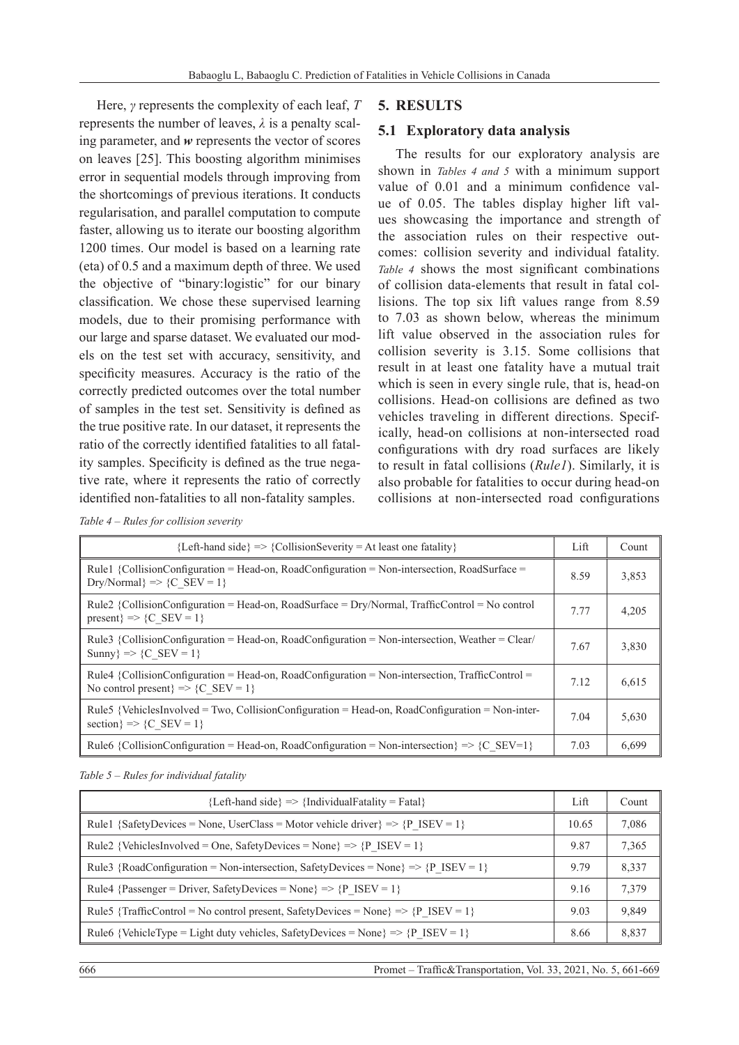Here, *γ* represents the complexity of each leaf, *T* represents the number of leaves,  $\lambda$  is a penalty scaling parameter, and *w* represents the vector of scores on leaves [25]. This boosting algorithm minimises error in sequential models through improving from the shortcomings of previous iterations. It conducts regularisation, and parallel computation to compute faster, allowing us to iterate our boosting algorithm 1200 times. Our model is based on a learning rate (eta) of 0.5 and a maximum depth of three. We used the objective of "binary:logistic" for our binary classification. We chose these supervised learning models, due to their promising performance with our large and sparse dataset. We evaluated our models on the test set with accuracy, sensitivity, and specificity measures. Accuracy is the ratio of the correctly predicted outcomes over the total number of samples in the test set. Sensitivity is defined as the true positive rate. In our dataset, it represents the ratio of the correctly identified fatalities to all fatality samples. Specificity is defined as the true negative rate, where it represents the ratio of correctly identified non-fatalities to all non-fatality samples.

### **5. RESULTS**

### **5.1 Exploratory data analysis**

The results for our exploratory analysis are shown in *Tables 4 and 5* with a minimum support value of 0.01 and a minimum confidence value of 0.05. The tables display higher lift values showcasing the importance and strength of the association rules on their respective outcomes: collision severity and individual fatality. *Table 4* shows the most significant combinations of collision data-elements that result in fatal collisions. The top six lift values range from 8.59 to 7.03 as shown below, whereas the minimum lift value observed in the association rules for collision severity is 3.15. Some collisions that result in at least one fatality have a mutual trait which is seen in every single rule, that is, head-on collisions. Head-on collisions are defined as two vehicles traveling in different directions. Specifically, head-on collisions at non-intersected road configurations with dry road surfaces are likely to result in fatal collisions (*Rule1*). Similarly, it is also probable for fatalities to occur during head-on collisions at non-intersected road configurations

*Table 4 – Rules for collision severity*

| ${Left-hand side} \implies {CollisionSecurity} = At least one fatality}$                                                                    | Lift | Count |
|---------------------------------------------------------------------------------------------------------------------------------------------|------|-------|
| Rule1 {CollisionConfiguration = Head-on, RoadConfiguration = Non-intersection, RoadSurface =<br>$Dry/Normal$ => {C SEV = 1}                 | 8.59 | 3,853 |
| Rule2 {CollisionConfiguration = Head-on, RoadSurface = $Dry/Normal$ , TrafficControl = No control<br>present $\geq$ $\{C \text{ SEV} = 1\}$ | 7.77 | 4,205 |
| Rule3 {CollisionConfiguration = Head-on, RoadConfiguration = Non-intersection, Weather = Clear/<br>Sunny $\Rightarrow$ {C SEV = 1}          | 7.67 | 3,830 |
| Rule4 {CollisionConfiguration = Head-on, RoadConfiguration = Non-intersection, TrafficControl =<br>No control present $\geq$ {C SEV = 1}    | 7.12 | 6,615 |
| Rule5 {VehiclesInvolved = Two, CollisionConfiguration = Head-on, RoadConfiguration = Non-inter-<br>section $\geq$ $\{C \text{ SEV} = 1\}$   |      | 5,630 |
| Rule6 {CollisionConfiguration = Head-on, RoadConfiguration = Non-intersection $\geq$ {C SEV=1}                                              | 7.03 | 6.699 |

*Table 5 – Rules for individual fatality*

| $\{Left\$ -hand side => $\{IndividualFatality = Fatal\}$                           | Lift  | Count |
|------------------------------------------------------------------------------------|-------|-------|
| Rule1 {SafetyDevices = None, UserClass = Motor vehicle driver} => {P ISEV = 1}     | 10.65 | 7,086 |
| Rule2 {VehiclesInvolved = One, SafetyDevices = None} => {P ISEV = 1}               | 9.87  | 7,365 |
| Rule3 {RoadConfiguration = Non-intersection, SafetyDevices = None} => {P ISEV = 1} | 9.79  | 8,337 |
| Rule4 {Passenger = Driver, SafetyDevices = None} => {P ISEV = 1}                   |       | 7,379 |
| Rule5 {TrafficControl = No control present, SafetyDevices = None} => {P ISEV = 1}  |       | 9,849 |
| Rule6 {VehicleType = Light duty vehicles, SafetyDevices = None} => {P ISEV = 1}    | 8.66  | 8.837 |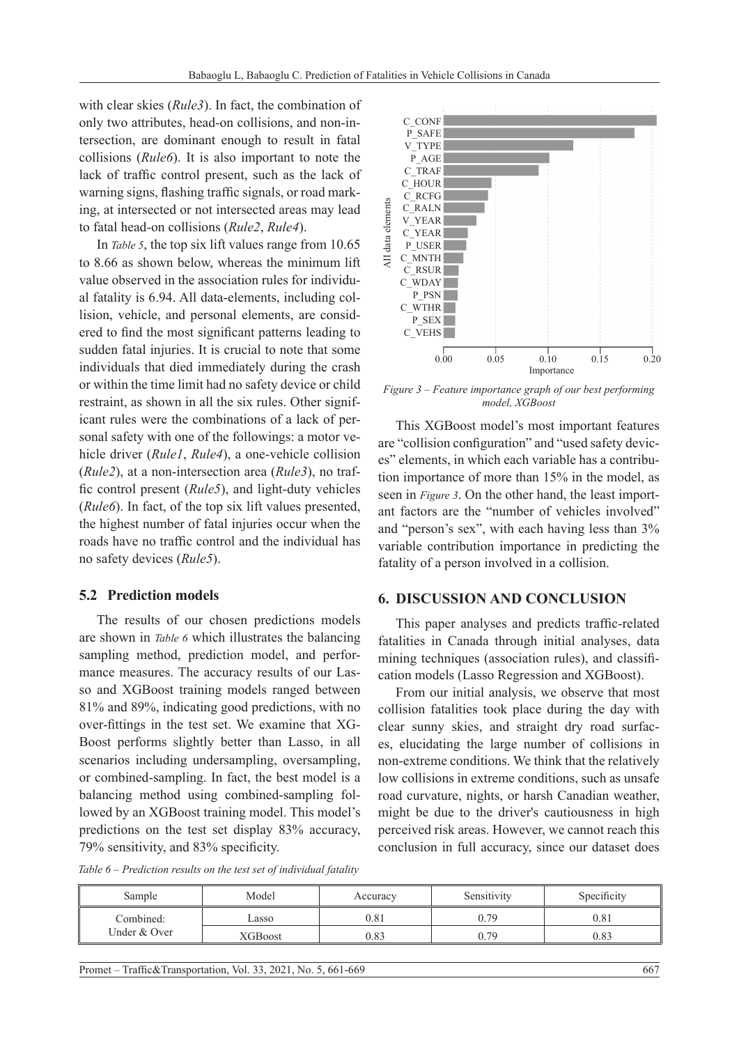with clear skies (*Rule3*). In fact, the combination of only two attributes, head-on collisions, and non-intersection, are dominant enough to result in fatal collisions (*Rule6*). It is also important to note the lack of traffic control present, such as the lack of warning signs, flashing traffic signals, or road marking, at intersected or not intersected areas may lead to fatal head-on collisions (*Rule2*, *Rule4*).

In *Table 5*, the top six lift values range from 10.65 to 8.66 as shown below, whereas the minimum lift value observed in the association rules for individual fatality is 6.94. All data-elements, including collision, vehicle, and personal elements, are considered to find the most significant patterns leading to sudden fatal injuries. It is crucial to note that some individuals that died immediately during the crash or within the time limit had no safety device or child restraint, as shown in all the six rules. Other significant rules were the combinations of a lack of personal safety with one of the followings: a motor vehicle driver (*Rule1*, *Rule4*), a one-vehicle collision (*Rule2*), at a non-intersection area (*Rule3*), no traffic control present (*Rule5*), and light-duty vehicles (*Rule6*). In fact, of the top six lift values presented, the highest number of fatal injuries occur when the roads have no traffic control and the individual has no safety devices (*Rule5*).

#### **5.2 Prediction models**

The results of our chosen predictions models are shown in *Table 6* which illustrates the balancing sampling method, prediction model, and performance measures. The accuracy results of our Lasso and XGBoost training models ranged between 81% and 89%, indicating good predictions, with no over-fittings in the test set. We examine that XG-Boost performs slightly better than Lasso, in all scenarios including undersampling, oversampling, or combined-sampling. In fact, the best model is a balancing method using combined-sampling followed by an XGBoost training model. This model's predictions on the test set display 83% accuracy, 79% sensitivity, and 83% specificity.



*Figure 3 – Feature importance graph of our best performing model, XGBoost*

This XGBoost model's most important features are "collision configuration" and "used safety devices" elements, in which each variable has a contribution importance of more than 15% in the model, as seen in *Figure 3*. On the other hand, the least important factors are the "number of vehicles involved" and "person's sex", with each having less than 3% variable contribution importance in predicting the fatality of a person involved in a collision.

#### **6. DISCUSSION AND CONCLUSION**

This paper analyses and predicts traffic-related fatalities in Canada through initial analyses, data mining techniques (association rules), and classification models (Lasso Regression and XGBoost).

From our initial analysis, we observe that most collision fatalities took place during the day with clear sunny skies, and straight dry road surfaces, elucidating the large number of collisions in non-extreme conditions. We think that the relatively low collisions in extreme conditions, such as unsafe road curvature, nights, or harsh Canadian weather, might be due to the driver's cautiousness in high perceived risk areas. However, we cannot reach this conclusion in full accuracy, since our dataset does

*Table 6 – Prediction results on the test set of individual fatality*

| Sample                    | Model   | Accuracy | Sensitivity | Specificity |
|---------------------------|---------|----------|-------------|-------------|
| Combined:<br>Under & Over | Lasso   | 0.81     | 0.79        | 0.81        |
|                           | XGBoost | 0.83     | 0.79        | 0.83        |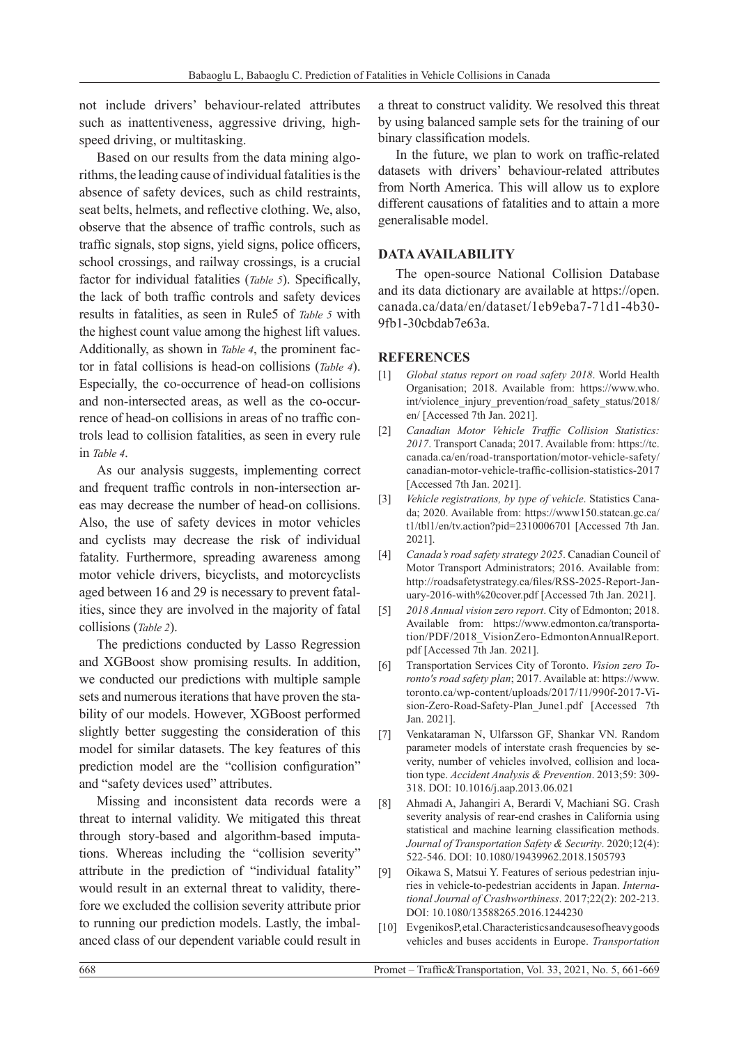not include drivers' behaviour-related attributes such as inattentiveness, aggressive driving, highspeed driving, or multitasking.

Based on our results from the data mining algorithms, the leading cause of individual fatalities is the absence of safety devices, such as child restraints, seat belts, helmets, and reflective clothing. We, also, observe that the absence of traffic controls, such as traffic signals, stop signs, yield signs, police officers, school crossings, and railway crossings, is a crucial factor for individual fatalities (*Table 5*). Specifically, the lack of both traffic controls and safety devices results in fatalities, as seen in Rule5 of *Table 5* with the highest count value among the highest lift values. Additionally, as shown in *Table 4*, the prominent factor in fatal collisions is head-on collisions (*Table 4*). Especially, the co-occurrence of head-on collisions and non-intersected areas, as well as the co-occurrence of head-on collisions in areas of no traffic controls lead to collision fatalities, as seen in every rule in *Table 4*.

As our analysis suggests, implementing correct and frequent traffic controls in non-intersection areas may decrease the number of head-on collisions. Also, the use of safety devices in motor vehicles and cyclists may decrease the risk of individual fatality. Furthermore, spreading awareness among motor vehicle drivers, bicyclists, and motorcyclists aged between 16 and 29 is necessary to prevent fatalities, since they are involved in the majority of fatal collisions (*Table 2*).

The predictions conducted by Lasso Regression and XGBoost show promising results. In addition, we conducted our predictions with multiple sample sets and numerous iterations that have proven the stability of our models. However, XGBoost performed slightly better suggesting the consideration of this model for similar datasets. The key features of this prediction model are the "collision configuration" and "safety devices used" attributes.

Missing and inconsistent data records were a threat to internal validity. We mitigated this threat through story-based and algorithm-based imputations. Whereas including the "collision severity" attribute in the prediction of "individual fatality" would result in an external threat to validity, therefore we excluded the collision severity attribute prior to running our prediction models. Lastly, the imbalanced class of our dependent variable could result in

a threat to construct validity. We resolved this threat by using balanced sample sets for the training of our binary classification models.

In the future, we plan to work on traffic-related datasets with drivers' behaviour-related attributes from North America. This will allow us to explore different causations of fatalities and to attain a more generalisable model.

### **DATA AVAILABILITY**

The open-source National Collision Database and its data dictionary are available at https://open. canada.ca/data/en/dataset/1eb9eba7-71d1-4b30- 9fb1-30cbdab7e63a.

### **REFERENCES**

- [1] *Global status report on road safety 2018*. World Health Organisation; 2018. Available from: https://www.who. int/violence\_injury\_prevention/road\_safety\_status/2018/ en/ [Accessed 7th Jan. 2021].
- [2] *Canadian Motor Vehicle Traffic Collision Statistics: 2017*. Transport Canada; 2017. Available from: https://tc. canada.ca/en/road-transportation/motor-vehicle-safety/ canadian-motor-vehicle-traffic-collision-statistics-2017 [Accessed 7th Jan. 2021].
- [3] *Vehicle registrations, by type of vehicle*. Statistics Canada; 2020. Available from: https://www150.statcan.gc.ca/ t1/tbl1/en/tv.action?pid=2310006701 [Accessed 7th Jan. 2021].
- [4] *Canada's road safety strategy 2025*. Canadian Council of Motor Transport Administrators; 2016. Available from: http://roadsafetystrategy.ca/files/RSS-2025-Report-January-2016-with%20cover.pdf [Accessed 7th Jan. 2021].
- [5] *2018 Annual vision zero report*. City of Edmonton; 2018. Available from: https://www.edmonton.ca/transportation/PDF/2018\_VisionZero-EdmontonAnnualReport. pdf [Accessed 7th Jan. 2021].
- [6] Transportation Services City of Toronto. *Vision zero Toronto's road safety plan*; 2017. Available at: https://www. toronto.ca/wp-content/uploads/2017/11/990f-2017-Vision-Zero-Road-Safety-Plan\_June1.pdf [Accessed 7th Jan. 2021].
- [7] Venkataraman N, Ulfarsson GF, Shankar VN. Random parameter models of interstate crash frequencies by severity, number of vehicles involved, collision and location type. *Accident Analysis & Prevention*. 2013;59: 309- 318. DOI: 10.1016/j.aap.2013.06.021
- [8] Ahmadi A, Jahangiri A, Berardi V, Machiani SG. Crash severity analysis of rear-end crashes in California using statistical and machine learning classification methods. *Journal of Transportation Safety & Security*. 2020;12(4): 522-546. DOI: 10.1080/19439962.2018.1505793
- [9] Oikawa S, Matsui Y. Features of serious pedestrian injuries in vehicle-to-pedestrian accidents in Japan. *International Journal of Crashworthiness*. 2017;22(2): 202-213. DOI: 10.1080/13588265.2016.1244230
- [10] Evgenikos P, et al. Characteristics and causes of heavy goods vehicles and buses accidents in Europe. *Transportation*